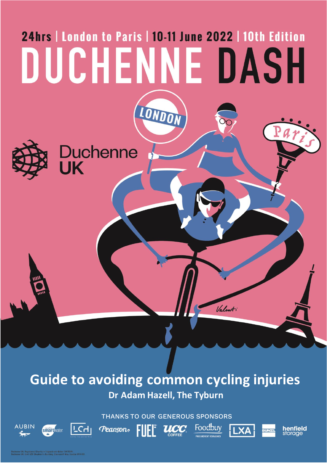# 24hrs | London to Paris | 10-11 June 2022 | 10th Edition DUCHENNE DASH LONDON Duchenne<br>UK Valent

# **Guide to avoiding common cycling injuries Dr Adam Hazell, The Tyburn**

THANKS TO OUR GENEROUS SPONSORS



 $\mathbf{UCC}$ 







Duchenne UK. Registered Charity in England and Wales (1147094).<br>Duchenne UK. Unit G20 Shepherd's Building, Charecroft Way, London W14 OEE

**smart** water

 $|TCH|$ 

**AUBIN**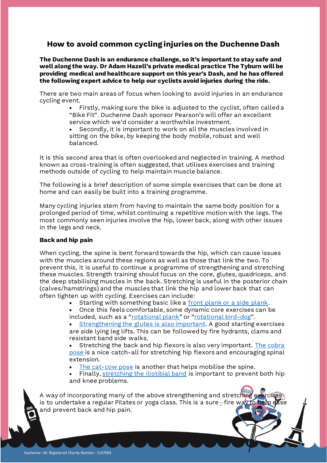## **How to avoid common cycling injuries on the Duchenne Dash**

**The Duchenne Dash is an endurance challenge, so it's important to stay safe and well along the way. Dr Adam Hazell's private medical practice The Tyburn will be providing medical and healthcare support on this year's Dash, and he has offered the following expert advice to help our cyclists avoid injuries during the ride.**

There are two main areas of focus when looking to avoid injuries in an endurance cycling event.

> • Firstly, making sure the bike is adjusted to the cyclist, often called a "Bike Fit". Duchenne Dash sponsor Pearson's will offer an excellent service which we'd consider a worthwhile investment.

Secondly, it is important to work on all the muscles involved in sitting on the bike, by keeping the body mobile, robust and well balanced.

It is this second area that is often overlooked and neglected in training. A method known as cross-training is often suggested, that utilises exercises and training methods outside of cycling to help maintain muscle balance.

The following is a brief description of some simple exercises that can be done at home and can easily be built into a training programme.

Many cycling injuries stem from having to maintain the same body position for a prolonged period of time, whilst continuing a repetitive motion with the legs. The most commonly seen injuries involve the hip, lower back, along with other issues in the legs and neck.

### **Back and hip pain**

When cycling, the spine is bent forward towards the hip, which can cause issues with the muscles around these regions as well as those that link the two. To prevent this, it is useful to continue a programme of strengthening and stretching these muscles. Strength training should focus on the core, glutes, quadriceps, and the deep stabilising muscles in the back. Stretching is useful in the posterior chain (calves/hamstrings) and the muscles that link the hip and lower back that can often tighten up with cycling. Exercises can include:

- Starting with something basic like a [front plank or a side plank](https://health.clevelandclinic.org/plank-exercise-benefits/).
- Once this feels comfortable, some dynamic core exercises can be
- included, such as a "[rotational plank](https://www.youtube.com/watch?v=VBd6DBVNUYg)" or "[rotational bird-dog](https://www.youtube.com/watch?v=6Z04gtCeamU)".

[Strengthening the glutes is also important.](https://mobilephysiotherapyclinic.in/hip-abductor-strengthening-exercise/) A good starting exercises are side lying leg lifts. This can be followed by fire hydrants, clams and resistant band side walks.

Stretching the back and hip flexors is also very important. The cobra [pose](https://www.wikihow.fitness/Perform-Cobra-Pose-in-Yoga) is a nice catch-all for stretching hip flexors and encouraging spinal extension.

[The cat-cow pose](https://backintelligence.com/cat-and-cow-stretch/) is another that helps mobilise the spine.

Finally, [stretching the iliotibial band](https://www.verywellfit.com/iliotibial-band-stretches-2696360) is important to prevent both hip and knee problems.

A way of incorporating many of the above strengthening and stretching ex is to undertake a regular Pilates or yoga class. This is a sure-fire way to and prevent back and hip pain.